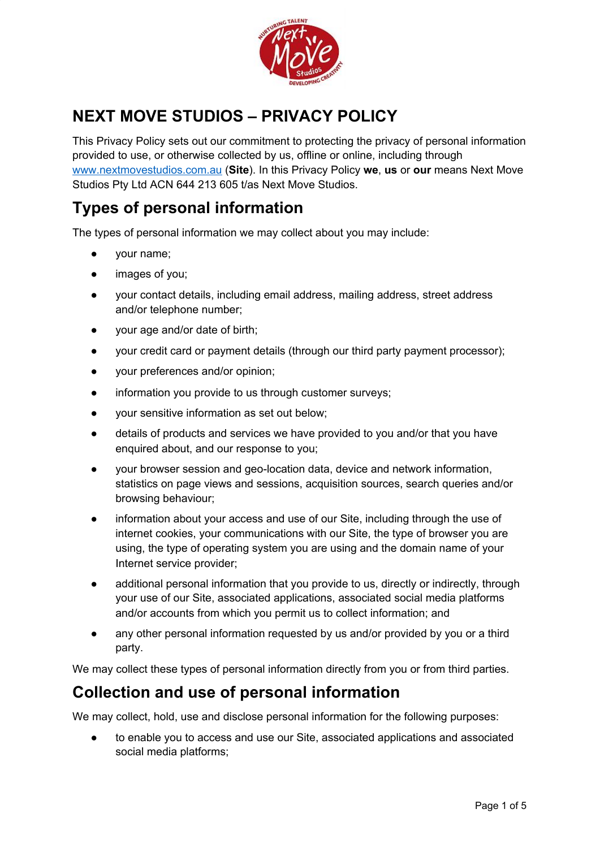

# **NEXT MOVE STUDIOS – PRIVACY POLICY**

This Privacy Policy sets out our commitment to protecting the privacy of personal information provided to use, or otherwise collected by us, offline or online, including through [www.nextmovestudios.com.au](http://www.nextmovestudios.com.au/) (**Site**). In this Privacy Policy **we**, **us** or **our** means Next Move Studios Pty Ltd ACN 644 213 605 t/as Next Move Studios.

### **Types of personal information**

The types of personal information we may collect about you may include:

- your name;
- images of you;
- your contact details, including email address, mailing address, street address and/or telephone number;
- your age and/or date of birth;
- your credit card or payment details (through our third party payment processor);
- your preferences and/or opinion;
- information you provide to us through customer surveys;
- your sensitive information as set out below;
- details of products and services we have provided to you and/or that you have enquired about, and our response to you;
- your browser session and geo-location data, device and network information, statistics on page views and sessions, acquisition sources, search queries and/or browsing behaviour;
- information about your access and use of our Site, including through the use of internet cookies, your communications with our Site, the type of browser you are using, the type of operating system you are using and the domain name of your Internet service provider;
- additional personal information that you provide to us, directly or indirectly, through your use of our Site, associated applications, associated social media platforms and/or accounts from which you permit us to collect information; and
- any other personal information requested by us and/or provided by you or a third party.

We may collect these types of personal information directly from you or from third parties.

#### **Collection and use of personal information**

We may collect, hold, use and disclose personal information for the following purposes:

to enable you to access and use our Site, associated applications and associated social media platforms;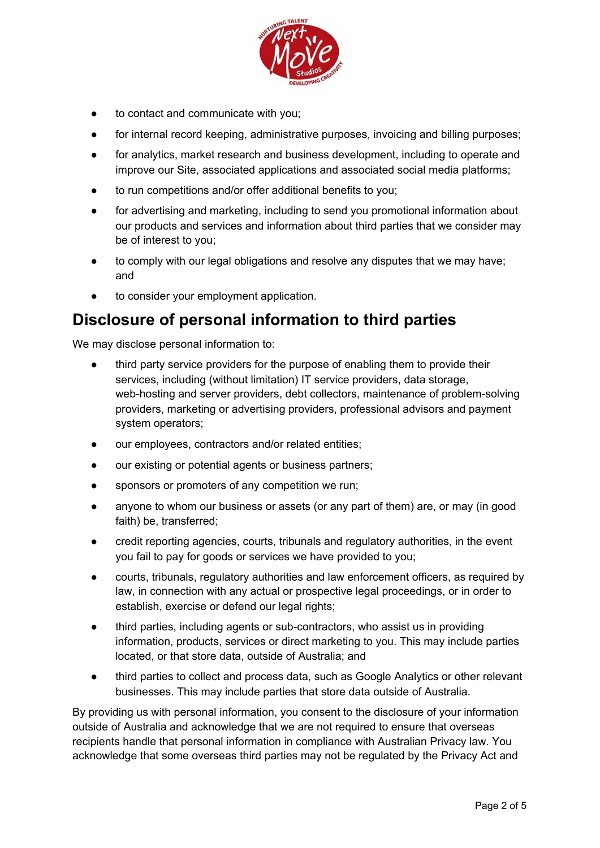

- to contact and communicate with you;
- for internal record keeping, administrative purposes, invoicing and billing purposes;
- for analytics, market research and business development, including to operate and improve our Site, associated applications and associated social media platforms;
- to run competitions and/or offer additional benefits to you;
- for advertising and marketing, including to send you promotional information about our products and services and information about third parties that we consider may be of interest to you;
- to comply with our legal obligations and resolve any disputes that we may have; and
- to consider your employment application.

#### **Disclosure of personal information to third parties**

We may disclose personal information to:

- third party service providers for the purpose of enabling them to provide their services, including (without limitation) IT service providers, data storage, web-hosting and server providers, debt collectors, maintenance of problem-solving providers, marketing or advertising providers, professional advisors and payment system operators;
- our employees, contractors and/or related entities;
- our existing or potential agents or business partners;
- sponsors or promoters of any competition we run;
- anyone to whom our business or assets (or any part of them) are, or may (in good faith) be, transferred;
- credit reporting agencies, courts, tribunals and regulatory authorities, in the event you fail to pay for goods or services we have provided to you;
- courts, tribunals, regulatory authorities and law enforcement officers, as required by law, in connection with any actual or prospective legal proceedings, or in order to establish, exercise or defend our legal rights;
- third parties, including agents or sub-contractors, who assist us in providing information, products, services or direct marketing to you. This may include parties located, or that store data, outside of Australia; and
- third parties to collect and process data, such as Google Analytics or other relevant businesses. This may include parties that store data outside of Australia.

By providing us with personal information, you consent to the disclosure of your information outside of Australia and acknowledge that we are not required to ensure that overseas recipients handle that personal information in compliance with Australian Privacy law. You acknowledge that some overseas third parties may not be regulated by the Privacy Act and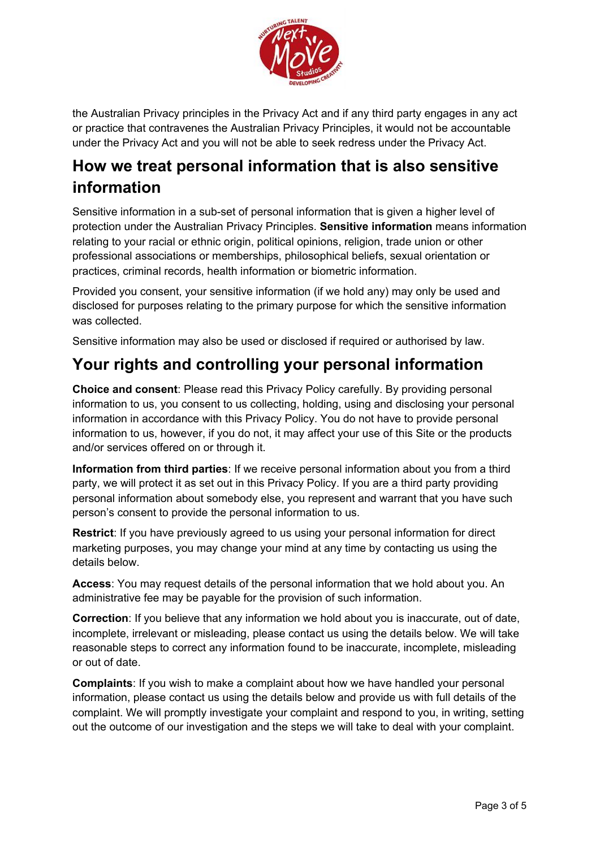

the Australian Privacy principles in the Privacy Act and if any third party engages in any act or practice that contravenes the Australian Privacy Principles, it would not be accountable under the Privacy Act and you will not be able to seek redress under the Privacy Act.

## **How we treat personal information that is also sensitive information**

Sensitive information in a sub-set of personal information that is given a higher level of protection under the Australian Privacy Principles. **Sensitive information** means information relating to your racial or ethnic origin, political opinions, religion, trade union or other professional associations or memberships, philosophical beliefs, sexual orientation or practices, criminal records, health information or biometric information.

Provided you consent, your sensitive information (if we hold any) may only be used and disclosed for purposes relating to the primary purpose for which the sensitive information was collected.

Sensitive information may also be used or disclosed if required or authorised by law.

## **Your rights and controlling your personal information**

**Choice and consent**: Please read this Privacy Policy carefully. By providing personal information to us, you consent to us collecting, holding, using and disclosing your personal information in accordance with this Privacy Policy. You do not have to provide personal information to us, however, if you do not, it may affect your use of this Site or the products and/or services offered on or through it.

**Information from third parties**: If we receive personal information about you from a third party, we will protect it as set out in this Privacy Policy. If you are a third party providing personal information about somebody else, you represent and warrant that you have such person's consent to provide the personal information to us.

**Restrict**: If you have previously agreed to us using your personal information for direct marketing purposes, you may change your mind at any time by contacting us using the details below.

**Access**: You may request details of the personal information that we hold about you. An administrative fee may be payable for the provision of such information.

**Correction**: If you believe that any information we hold about you is inaccurate, out of date, incomplete, irrelevant or misleading, please contact us using the details below. We will take reasonable steps to correct any information found to be inaccurate, incomplete, misleading or out of date.

**Complaints**: If you wish to make a complaint about how we have handled your personal information, please contact us using the details below and provide us with full details of the complaint. We will promptly investigate your complaint and respond to you, in writing, setting out the outcome of our investigation and the steps we will take to deal with your complaint.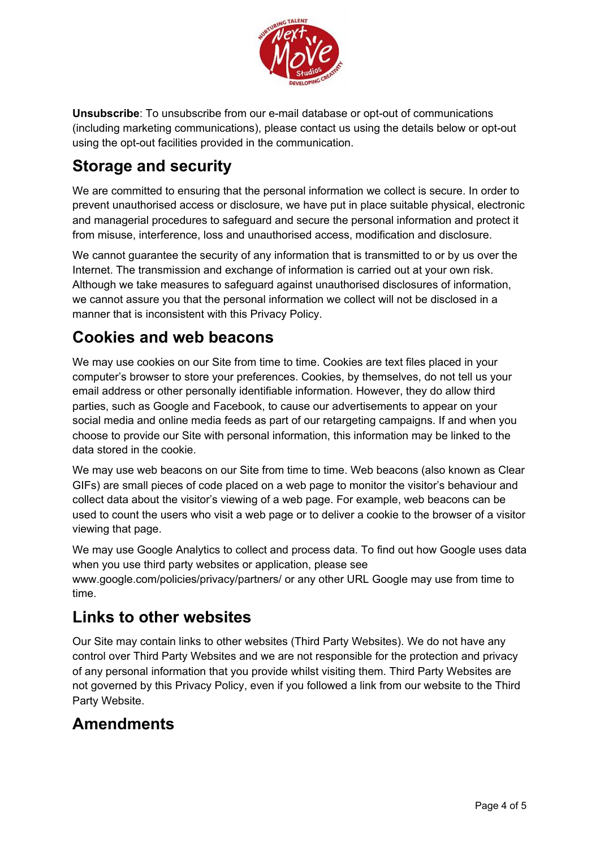

**Unsubscribe**: To unsubscribe from our e-mail database or opt-out of communications (including marketing communications), please contact us using the details below or opt-out using the opt-out facilities provided in the communication.

## **Storage and security**

We are committed to ensuring that the personal information we collect is secure. In order to prevent unauthorised access or disclosure, we have put in place suitable physical, electronic and managerial procedures to safeguard and secure the personal information and protect it from misuse, interference, loss and unauthorised access, modification and disclosure.

We cannot guarantee the security of any information that is transmitted to or by us over the Internet. The transmission and exchange of information is carried out at your own risk. Although we take measures to safeguard against unauthorised disclosures of information, we cannot assure you that the personal information we collect will not be disclosed in a manner that is inconsistent with this Privacy Policy.

#### **Cookies and web beacons**

We may use cookies on our Site from time to time. Cookies are text files placed in your computer's browser to store your preferences. Cookies, by themselves, do not tell us your email address or other personally identifiable information. However, they do allow third parties, such as Google and Facebook, to cause our advertisements to appear on your social media and online media feeds as part of our retargeting campaigns. If and when you choose to provide our Site with personal information, this information may be linked to the data stored in the cookie.

We may use web beacons on our Site from time to time. Web beacons (also known as Clear GIFs) are small pieces of code placed on a web page to monitor the visitor's behaviour and collect data about the visitor's viewing of a web page. For example, web beacons can be used to count the users who visit a web page or to deliver a cookie to the browser of a visitor viewing that page.

We may use Google Analytics to collect and process data. To find out how Google uses data when you use third party websites or application, please see www.google.com/policies/privacy/partners/ or any other URL Google may use from time to time.

#### **Links to other websites**

Our Site may contain links to other websites (Third Party Websites). We do not have any control over Third Party Websites and we are not responsible for the protection and privacy of any personal information that you provide whilst visiting them. Third Party Websites are not governed by this Privacy Policy, even if you followed a link from our website to the Third Party Website.

#### **Amendments**